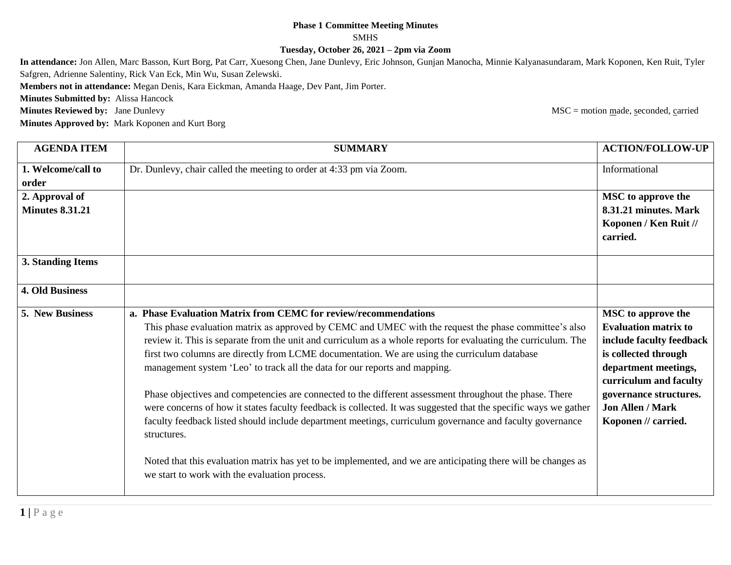## **Phase 1 Committee Meeting Minutes SMHS Tuesday, October 26, 2021 – 2pm via Zoom**

**In attendance:** Jon Allen, Marc Basson, Kurt Borg, Pat Carr, Xuesong Chen, Jane Dunlevy, Eric Johnson, Gunjan Manocha, Minnie Kalyanasundaram, Mark Koponen, Ken Ruit, Tyler Safgren, Adrienne Salentiny, Rick Van Eck, Min Wu, Susan Zelewski.

**Members not in attendance:** Megan Denis, Kara Eickman, Amanda Haage, Dev Pant, Jim Porter.

**Minutes Submitted by:** Alissa Hancock

**Minutes Reviewed by:** Jane Dunlevy **MSC** = motion made, seconded, carried

**Minutes Approved by:** Mark Koponen and Kurt Borg

**AGENDA ITEM SUMMARY ACTION/FOLLOW-UP 1. Welcome/call to order** Dr. Dunlevy, chair called the meeting to order at 4:33 pm via Zoom. Informational **2. Approval of Minutes 8.31.21 MSC to approve the 8.31.21 minutes. Mark Koponen / Ken Ruit // carried. 3. Standing Items 4. Old Business 5. New Business a. Phase Evaluation Matrix from CEMC for review/recommendations** This phase evaluation matrix as approved by CEMC and UMEC with the request the phase committee's also review it. This is separate from the unit and curriculum as a whole reports for evaluating the curriculum. The first two columns are directly from LCME documentation. We are using the curriculum database management system 'Leo' to track all the data for our reports and mapping. Phase objectives and competencies are connected to the different assessment throughout the phase. There were concerns of how it states faculty feedback is collected. It was suggested that the specific ways we gather faculty feedback listed should include department meetings, curriculum governance and faculty governance structures. Noted that this evaluation matrix has yet to be implemented, and we are anticipating there will be changes as we start to work with the evaluation process. **MSC to approve the Evaluation matrix to include faculty feedback is collected through department meetings, curriculum and faculty governance structures. Jon Allen / Mark Koponen // carried.**